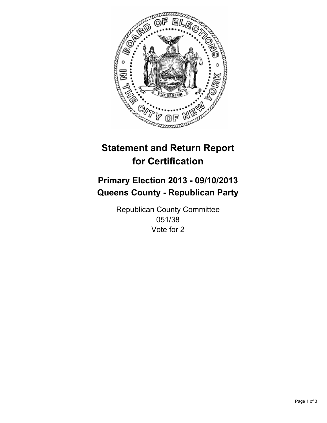

# **Statement and Return Report for Certification**

# **Primary Election 2013 - 09/10/2013 Queens County - Republican Party**

Republican County Committee 051/38 Vote for 2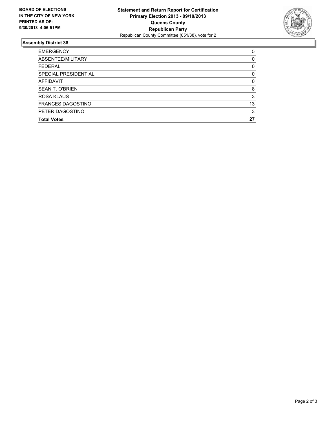

## **Assembly District 38**

| ABSENTEE/MILITARY<br><b>FEDERAL</b><br>SPECIAL PRESIDENTIAL<br>AFFIDAVIT<br><b>SEAN T. O'BRIEN</b><br><b>ROSA KLAUS</b><br><b>FRANCES DAGOSTINO</b><br>PETER DAGOSTINO<br><b>Total Votes</b> | <b>EMERGENCY</b> | 5        |
|----------------------------------------------------------------------------------------------------------------------------------------------------------------------------------------------|------------------|----------|
|                                                                                                                                                                                              |                  | 0        |
|                                                                                                                                                                                              |                  | 0        |
|                                                                                                                                                                                              |                  | 0        |
|                                                                                                                                                                                              |                  | $\Omega$ |
|                                                                                                                                                                                              |                  | 8        |
|                                                                                                                                                                                              |                  | 3        |
|                                                                                                                                                                                              |                  | 13       |
|                                                                                                                                                                                              |                  | 3        |
|                                                                                                                                                                                              |                  | 27       |